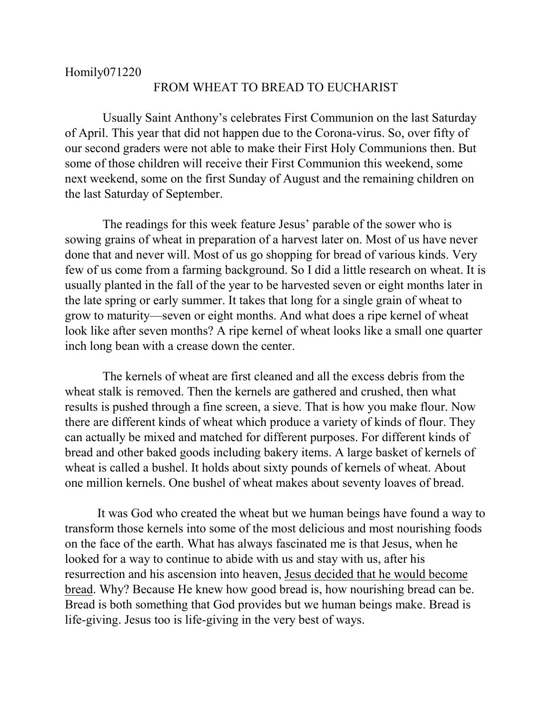## FROM WHEAT TO BREAD TO EUCHARIST

 Usually Saint Anthony's celebrates First Communion on the last Saturday of April. This year that did not happen due to the Corona-virus. So, over fifty of our second graders were not able to make their First Holy Communions then. But some of those children will receive their First Communion this weekend, some next weekend, some on the first Sunday of August and the remaining children on the last Saturday of September.

 The readings for this week feature Jesus' parable of the sower who is sowing grains of wheat in preparation of a harvest later on. Most of us have never done that and never will. Most of us go shopping for bread of various kinds. Very few of us come from a farming background. So I did a little research on wheat. It is usually planted in the fall of the year to be harvested seven or eight months later in the late spring or early summer. It takes that long for a single grain of wheat to grow to maturity—seven or eight months. And what does a ripe kernel of wheat look like after seven months? A ripe kernel of wheat looks like a small one quarter inch long bean with a crease down the center.

 The kernels of wheat are first cleaned and all the excess debris from the wheat stalk is removed. Then the kernels are gathered and crushed, then what results is pushed through a fine screen, a sieve. That is how you make flour. Now there are different kinds of wheat which produce a variety of kinds of flour. They can actually be mixed and matched for different purposes. For different kinds of bread and other baked goods including bakery items. A large basket of kernels of wheat is called a bushel. It holds about sixty pounds of kernels of wheat. About one million kernels. One bushel of wheat makes about seventy loaves of bread.

It was God who created the wheat but we human beings have found a way to transform those kernels into some of the most delicious and most nourishing foods on the face of the earth. What has always fascinated me is that Jesus, when he looked for a way to continue to abide with us and stay with us, after his resurrection and his ascension into heaven, Jesus decided that he would become bread. Why? Because He knew how good bread is, how nourishing bread can be. Bread is both something that God provides but we human beings make. Bread is life-giving. Jesus too is life-giving in the very best of ways.